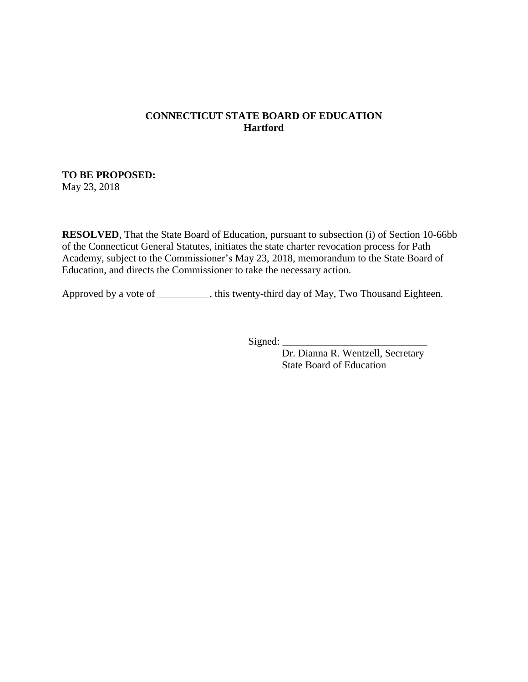#### **CONNECTICUT STATE BOARD OF EDUCATION Hartford**

# **TO BE PROPOSED:**

May 23, 2018

**RESOLVED**, That the State Board of Education, pursuant to subsection (i) of Section 10-66bb of the Connecticut General Statutes, initiates the state charter revocation process for Path Academy, subject to the Commissioner's May 23, 2018, memorandum to the State Board of Education, and directs the Commissioner to take the necessary action.

Approved by a vote of \_\_\_\_\_\_\_\_\_\_, this twenty-third day of May, Two Thousand Eighteen.

 $Signed:$ 

Dr. Dianna R. Wentzell, Secretary State Board of Education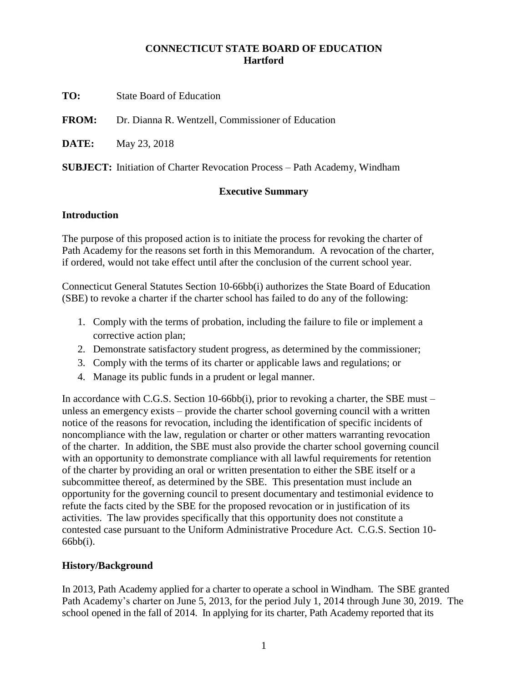#### **CONNECTICUT STATE BOARD OF EDUCATION Hartford**

**TO:** State Board of Education

**FROM:** Dr. Dianna R. Wentzell, Commissioner of Education

**DATE:** May 23, 2018

**SUBJECT:** Initiation of Charter Revocation Process – Path Academy, Windham

#### **Executive Summary**

#### **Introduction**

The purpose of this proposed action is to initiate the process for revoking the charter of Path Academy for the reasons set forth in this Memorandum. A revocation of the charter, if ordered, would not take effect until after the conclusion of the current school year.

Connecticut General Statutes Section 10-66bb(i) authorizes the State Board of Education (SBE) to revoke a charter if the charter school has failed to do any of the following:

- 1. Comply with the terms of probation, including the failure to file or implement a corrective action plan;
- 2. Demonstrate satisfactory student progress, as determined by the commissioner;
- 3. Comply with the terms of its charter or applicable laws and regulations; or
- 4. Manage its public funds in a prudent or legal manner.

In accordance with C.G.S. Section 10-66bb(i), prior to revoking a charter, the SBE must – unless an emergency exists – provide the charter school governing council with a written notice of the reasons for revocation, including the identification of specific incidents of noncompliance with the law, regulation or charter or other matters warranting revocation of the charter. In addition, the SBE must also provide the charter school governing council with an opportunity to demonstrate compliance with all lawful requirements for retention of the charter by providing an oral or written presentation to either the SBE itself or a subcommittee thereof, as determined by the SBE. This presentation must include an opportunity for the governing council to present documentary and testimonial evidence to refute the facts cited by the SBE for the proposed revocation or in justification of its activities. The law provides specifically that this opportunity does not constitute a contested case pursuant to the Uniform Administrative Procedure Act. C.G.S. Section 10- 66bb(i).

## **History/Background**

In 2013, Path Academy applied for a charter to operate a school in Windham. The SBE granted Path Academy's charter on June 5, 2013, for the period July 1, 2014 through June 30, 2019. The school opened in the fall of 2014. In applying for its charter, Path Academy reported that its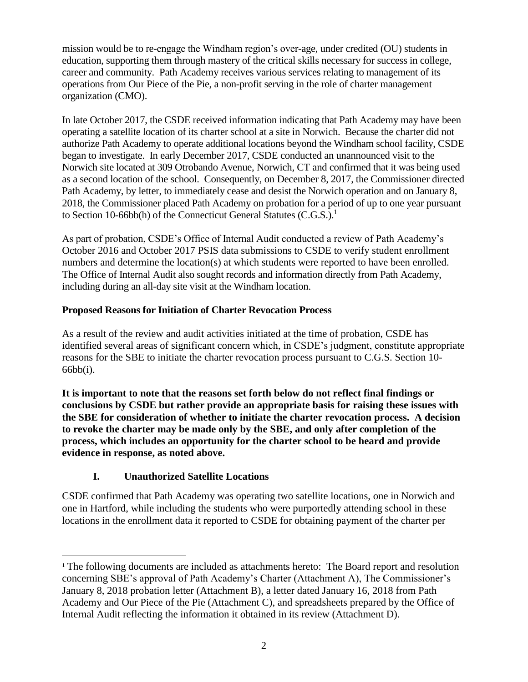mission would be to re-engage the Windham region's over-age, under credited (OU) students in education, supporting them through mastery of the critical skills necessary for success in college, career and community. Path Academy receives various services relating to management of its operations from Our Piece of the Pie, a non-profit serving in the role of charter management organization (CMO).

In late October 2017, the CSDE received information indicating that Path Academy may have been operating a satellite location of its charter school at a site in Norwich. Because the charter did not authorize Path Academy to operate additional locations beyond the Windham school facility, CSDE began to investigate. In early December 2017, CSDE conducted an unannounced visit to the Norwich site located at 309 Otrobando Avenue, Norwich, CT and confirmed that it was being used as a second location of the school. Consequently, on December 8, 2017, the Commissioner directed Path Academy, by letter, to immediately cease and desist the Norwich operation and on January 8, 2018, the Commissioner placed Path Academy on probation for a period of up to one year pursuant to Section 10-66bb(h) of the Connecticut General Statutes (C.G.S.).<sup>1</sup>

As part of probation, CSDE's Office of Internal Audit conducted a review of Path Academy's October 2016 and October 2017 PSIS data submissions to CSDE to verify student enrollment numbers and determine the location(s) at which students were reported to have been enrolled. The Office of Internal Audit also sought records and information directly from Path Academy, including during an all-day site visit at the Windham location.

## **Proposed Reasons for Initiation of Charter Revocation Process**

As a result of the review and audit activities initiated at the time of probation, CSDE has identified several areas of significant concern which, in CSDE's judgment, constitute appropriate reasons for the SBE to initiate the charter revocation process pursuant to C.G.S. Section 10- 66bb(i).

**It is important to note that the reasons set forth below do not reflect final findings or conclusions by CSDE but rather provide an appropriate basis for raising these issues with the SBE for consideration of whether to initiate the charter revocation process. A decision to revoke the charter may be made only by the SBE, and only after completion of the process, which includes an opportunity for the charter school to be heard and provide evidence in response, as noted above.** 

# **I. Unauthorized Satellite Locations**

 $\overline{a}$ 

CSDE confirmed that Path Academy was operating two satellite locations, one in Norwich and one in Hartford, while including the students who were purportedly attending school in these locations in the enrollment data it reported to CSDE for obtaining payment of the charter per

<sup>&</sup>lt;sup>1</sup> The following documents are included as attachments hereto: The Board report and resolution concerning SBE's approval of Path Academy's Charter (Attachment A), The Commissioner's January 8, 2018 probation letter (Attachment B), a letter dated January 16, 2018 from Path Academy and Our Piece of the Pie (Attachment C), and spreadsheets prepared by the Office of Internal Audit reflecting the information it obtained in its review (Attachment D).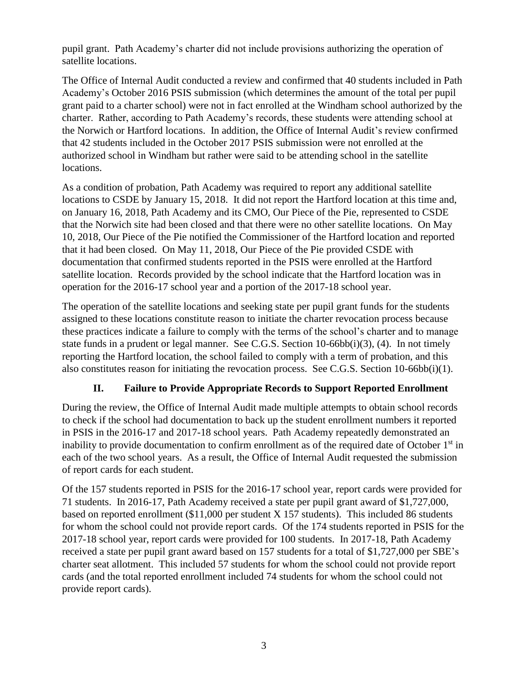pupil grant. Path Academy's charter did not include provisions authorizing the operation of satellite locations.

The Office of Internal Audit conducted a review and confirmed that 40 students included in Path Academy's October 2016 PSIS submission (which determines the amount of the total per pupil grant paid to a charter school) were not in fact enrolled at the Windham school authorized by the charter. Rather, according to Path Academy's records, these students were attending school at the Norwich or Hartford locations. In addition, the Office of Internal Audit's review confirmed that 42 students included in the October 2017 PSIS submission were not enrolled at the authorized school in Windham but rather were said to be attending school in the satellite locations.

As a condition of probation, Path Academy was required to report any additional satellite locations to CSDE by January 15, 2018. It did not report the Hartford location at this time and, on January 16, 2018, Path Academy and its CMO, Our Piece of the Pie, represented to CSDE that the Norwich site had been closed and that there were no other satellite locations. On May 10, 2018, Our Piece of the Pie notified the Commissioner of the Hartford location and reported that it had been closed. On May 11, 2018, Our Piece of the Pie provided CSDE with documentation that confirmed students reported in the PSIS were enrolled at the Hartford satellite location. Records provided by the school indicate that the Hartford location was in operation for the 2016-17 school year and a portion of the 2017-18 school year.

The operation of the satellite locations and seeking state per pupil grant funds for the students assigned to these locations constitute reason to initiate the charter revocation process because these practices indicate a failure to comply with the terms of the school's charter and to manage state funds in a prudent or legal manner. See C.G.S. Section 10-66bb(i)(3), (4). In not timely reporting the Hartford location, the school failed to comply with a term of probation, and this also constitutes reason for initiating the revocation process. See C.G.S. Section 10-66bb(i)(1).

# **II. Failure to Provide Appropriate Records to Support Reported Enrollment**

During the review, the Office of Internal Audit made multiple attempts to obtain school records to check if the school had documentation to back up the student enrollment numbers it reported in PSIS in the 2016-17 and 2017-18 school years. Path Academy repeatedly demonstrated an inability to provide documentation to confirm enrollment as of the required date of October 1<sup>st</sup> in each of the two school years. As a result, the Office of Internal Audit requested the submission of report cards for each student.

Of the 157 students reported in PSIS for the 2016-17 school year, report cards were provided for 71 students. In 2016-17, Path Academy received a state per pupil grant award of \$1,727,000, based on reported enrollment (\$11,000 per student X 157 students). This included 86 students for whom the school could not provide report cards. Of the 174 students reported in PSIS for the 2017-18 school year, report cards were provided for 100 students. In 2017-18, Path Academy received a state per pupil grant award based on 157 students for a total of \$1,727,000 per SBE's charter seat allotment. This included 57 students for whom the school could not provide report cards (and the total reported enrollment included 74 students for whom the school could not provide report cards).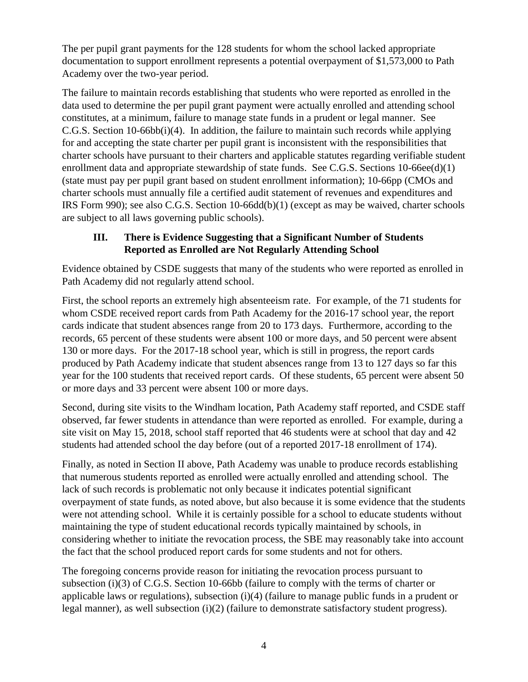The per pupil grant payments for the 128 students for whom the school lacked appropriate documentation to support enrollment represents a potential overpayment of \$1,573,000 to Path Academy over the two-year period.

The failure to maintain records establishing that students who were reported as enrolled in the data used to determine the per pupil grant payment were actually enrolled and attending school constitutes, at a minimum, failure to manage state funds in a prudent or legal manner. See C.G.S. Section 10-66bb(i)(4). In addition, the failure to maintain such records while applying for and accepting the state charter per pupil grant is inconsistent with the responsibilities that charter schools have pursuant to their charters and applicable statutes regarding verifiable student enrollment data and appropriate stewardship of state funds. See C.G.S. Sections 10-66ee(d)(1) (state must pay per pupil grant based on student enrollment information); 10-66pp (CMOs and charter schools must annually file a certified audit statement of revenues and expenditures and IRS Form 990); see also C.G.S. Section 10-66dd(b)(1) (except as may be waived, charter schools are subject to all laws governing public schools).

## **III. There is Evidence Suggesting that a Significant Number of Students Reported as Enrolled are Not Regularly Attending School**

Evidence obtained by CSDE suggests that many of the students who were reported as enrolled in Path Academy did not regularly attend school.

First, the school reports an extremely high absenteeism rate. For example, of the 71 students for whom CSDE received report cards from Path Academy for the 2016-17 school year, the report cards indicate that student absences range from 20 to 173 days. Furthermore, according to the records, 65 percent of these students were absent 100 or more days, and 50 percent were absent 130 or more days. For the 2017-18 school year, which is still in progress, the report cards produced by Path Academy indicate that student absences range from 13 to 127 days so far this year for the 100 students that received report cards. Of these students, 65 percent were absent 50 or more days and 33 percent were absent 100 or more days.

Second, during site visits to the Windham location, Path Academy staff reported, and CSDE staff observed, far fewer students in attendance than were reported as enrolled. For example, during a site visit on May 15, 2018, school staff reported that 46 students were at school that day and 42 students had attended school the day before (out of a reported 2017-18 enrollment of 174).

Finally, as noted in Section II above, Path Academy was unable to produce records establishing that numerous students reported as enrolled were actually enrolled and attending school. The lack of such records is problematic not only because it indicates potential significant overpayment of state funds, as noted above, but also because it is some evidence that the students were not attending school. While it is certainly possible for a school to educate students without maintaining the type of student educational records typically maintained by schools, in considering whether to initiate the revocation process, the SBE may reasonably take into account the fact that the school produced report cards for some students and not for others.

The foregoing concerns provide reason for initiating the revocation process pursuant to subsection (i)(3) of C.G.S. Section 10-66bb (failure to comply with the terms of charter or applicable laws or regulations), subsection (i)(4) (failure to manage public funds in a prudent or legal manner), as well subsection (i)(2) (failure to demonstrate satisfactory student progress).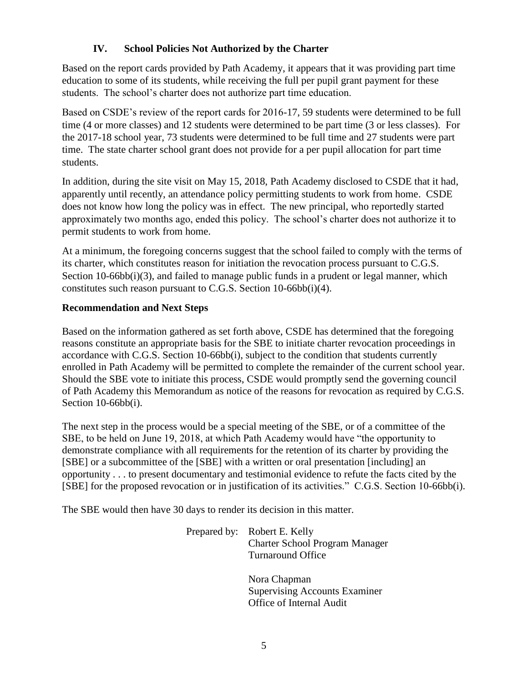## **IV. School Policies Not Authorized by the Charter**

Based on the report cards provided by Path Academy, it appears that it was providing part time education to some of its students, while receiving the full per pupil grant payment for these students. The school's charter does not authorize part time education.

Based on CSDE's review of the report cards for 2016-17, 59 students were determined to be full time (4 or more classes) and 12 students were determined to be part time (3 or less classes). For the 2017-18 school year, 73 students were determined to be full time and 27 students were part time. The state charter school grant does not provide for a per pupil allocation for part time students.

In addition, during the site visit on May 15, 2018, Path Academy disclosed to CSDE that it had, apparently until recently, an attendance policy permitting students to work from home. CSDE does not know how long the policy was in effect. The new principal, who reportedly started approximately two months ago, ended this policy. The school's charter does not authorize it to permit students to work from home.

At a minimum, the foregoing concerns suggest that the school failed to comply with the terms of its charter, which constitutes reason for initiation the revocation process pursuant to C.G.S. Section 10-66bb(i)(3), and failed to manage public funds in a prudent or legal manner, which constitutes such reason pursuant to C.G.S. Section 10-66bb(i)(4).

## **Recommendation and Next Steps**

Based on the information gathered as set forth above, CSDE has determined that the foregoing reasons constitute an appropriate basis for the SBE to initiate charter revocation proceedings in accordance with C.G.S. Section 10-66bb(i), subject to the condition that students currently enrolled in Path Academy will be permitted to complete the remainder of the current school year. Should the SBE vote to initiate this process, CSDE would promptly send the governing council of Path Academy this Memorandum as notice of the reasons for revocation as required by C.G.S. Section 10-66bb(i).

The next step in the process would be a special meeting of the SBE, or of a committee of the SBE, to be held on June 19, 2018, at which Path Academy would have "the opportunity to demonstrate compliance with all requirements for the retention of its charter by providing the [SBE] or a subcommittee of the [SBE] with a written or oral presentation [including] an opportunity . . . to present documentary and testimonial evidence to refute the facts cited by the [SBE] for the proposed revocation or in justification of its activities." C.G.S. Section 10-66bb(i).

The SBE would then have 30 days to render its decision in this matter.

Prepared by: Robert E. Kelly Charter School Program Manager Turnaround Office

> Nora Chapman Supervising Accounts Examiner Office of Internal Audit